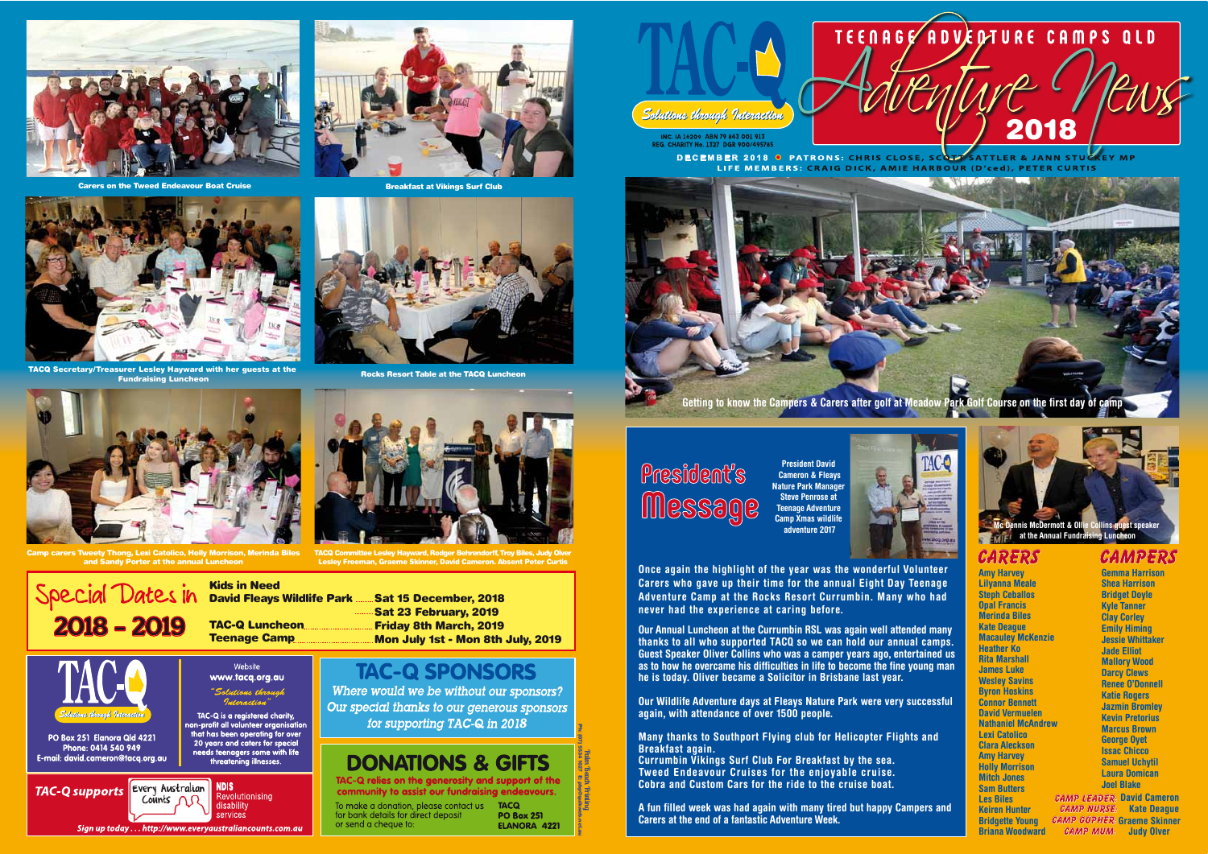





INC. IA 16209 ABN 79 843 001 913 REG. CHARITY No. 1327 DGR 900/495785

**DECEMBER 2018 O PATRONS: CHRIS CLOSE, SCOTT** SATTLER & JANN STUC LIFE MEMBERS: CRAIG DICK, AMIE HARBOUR (D'ced), PETER CURTIS





Carers on the Tweed Endeavour Boat Cruise

**Amy Harvey Lilyanna Meale Steph Ceballos Opal Francis Merinda Biles Kate Deague Macauley McKenzie Heather Ko Rita Marshall James Luke Wesley Savins Byron Hoskins Connor Bennett David Vermuelen Nathaniel McAndrew Lexi Catolico Clara Aleckson Amy Harvey Holly Morrison Mitch Jones Sam Butters Les Biles Keiren Hunter Bridgette Young Briana Woodward**

### **Carers**

Sat 15 December, 2018 Sat 23 February, 2019 Friday 8th March, 2019 Mon July 1st - Mon 8th July, 2019

# **TAC-Q SPONSORS**

Where would we be without our sponsors? Our special thanks to our generous sponsors for supporting TAC-Q in 2018

# **DONATIONS & GIFTS**

TAC-Q relies on the generosity and support of the community to assist our fundraising endeavours.

Solutions through Interaction

Kids in Need

David Fleays Wildlife Park



Website

services

Sign up today . . . http://www.everyaustraliancounts.com.au



TACQ Committee Lesley Hayward, Rodger Behrendorff, Troy Biles, Judy Olver Lesley Freeman, Graeme Skinner, David Cameron. Absent Peter Curtis

Special Dates in



PO Box 251 Elanora Qld 4221 Phone: 0414 540 949 E-mail: david.cameron@tacq.org.au



Camp carers Tweety Thong, Lexi Catolico, Holly Morrison, Merinda Biles and Sandy Porter at the annual Luncheon

Rocks Resort Table at the TACQ Luncheon

Breakfast at Vikings Surf Club

**Palm Beach Printing** Ph: (07) 5534 1027 E: pbp@quikweb.net.au





**Gemma Harrison Shea Harrison Bridget Doyle Kyle Tanner Clay Corley Emily Himing Jessie Whittaker Jade Elliot Mallory Wood Darcy Clews Renee O'Donnell Katie Rogers Jazmin Bromley Kevin Pretorius Marcus Brown George Oyet Issac Chicco Samuel Uchytil Laura Domican Joel Blake**

# **Campers**

**Once again the highlight of the year was the wonderful Volunteer Carers who gave up their time for the annual Eight Day Teenage Adventure Camp at the Rocks Resort Currumbin. Many who had never had the experience at caring before.**

**Our Annual Luncheon at the Currumbin RSL was again well attended many thanks to all who supported TACQ so we can hold our annual camps. Guest Speaker Oliver Collins who was a camper years ago, entertained us as to how he overcame his difficulties in life to become the fine young man he is today. Oliver became a Solicitor in Brisbane last year.**

**Our Wildlife Adventure days at Fleays Nature Park were very successful again, with attendance of over 1500 people.**

> **Camp Nurse: Kate Deague Camp GOPHER: Graeme Skinner Camp leader: David Cameron camp mum: Judy Olver**

**Many thanks to Southport Flying club for Helicopter Flights and Breakfast again.**

**Currumbin Vikings Surf Club For Breakfast by the sea. Tweed Endeavour Cruises for the enjoyable cruise. Cobra and Custom Cars for the ride to the cruise boat.**

**A fun filled week was had again with many tired but happy Campers and Carers at the end of a fantastic Adventure Week.**

To make a donation, please contact us for bank details for direct deposit or send a cheque to:

**TACQ PO Box 251** ELANORA 4221

**Mc Dennis McDermott & Ollie Collins guest speaker at the Annual Fundraising Luncheon**

**President David Cameron & Fleays Nature Park Manager Steve Penrose at Teenage Adventure Camp Xmas wildlife adventure 2017**





# President's **Message**